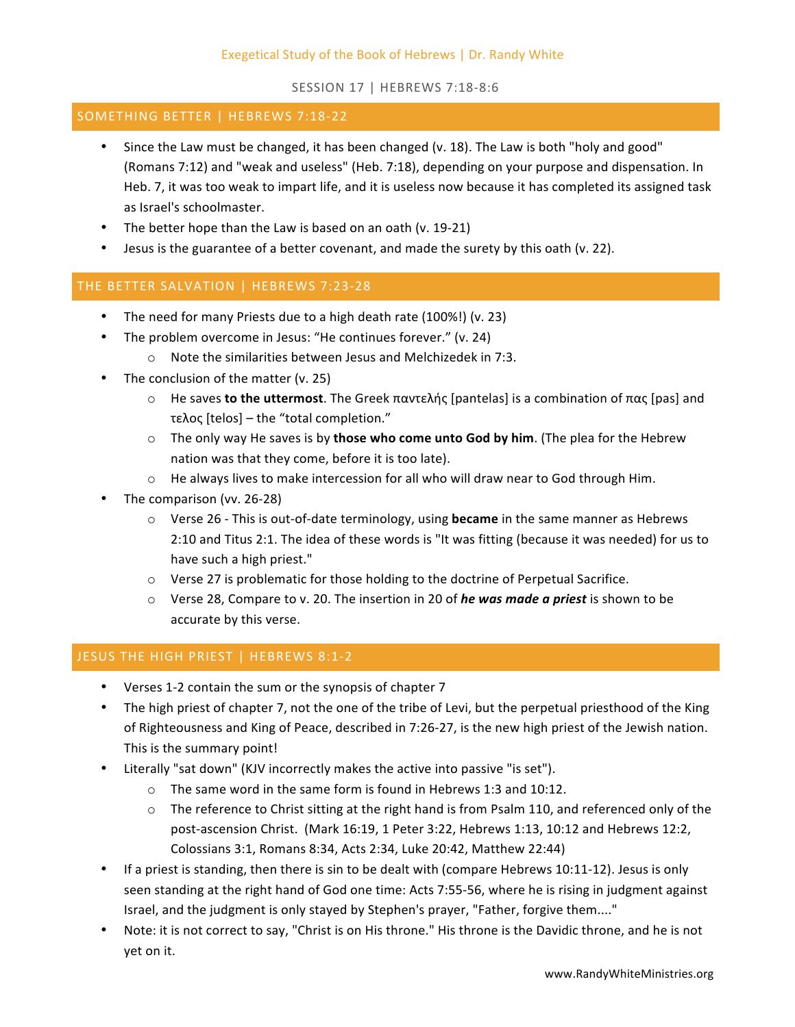SESSION 17 | HEBREWS 7:18-8:6

#### SOMETHING BETTER | HEBREWS 7:18-22

- Since the Law must be changed, it has been changed (v. 18). The Law is both "holy and good" (Romans 7:12) and "weak and useless" (Heb. 7:18), depending on your purpose and dispensation. In Heb. 7, it was too weak to impart life, and it is useless now because it has completed its assigned task as Israel's schoolmaster.
- The better hope than the Law is based on an oath (v. 19-21)
- Jesus is the guarantee of a better covenant, and made the surety by this oath (v. 22).

## THE BETTER SALVATION | HEBREWS 7:23-28

- The need for many Priests due to a high death rate (100%!) (v. 23)
- The problem overcome in Jesus: "He continues forever." (v. 24)
	- $\circ$  Note the similarities between Jesus and Melchizedek in 7:3.
- The conclusion of the matter  $(v. 25)$ 
	- o He saves **to the uttermost**. The Greek παντελής [pantelas] is a combination of πας [pas] and τελος [telos] – the "total completion."
	- $\circ$  The only way He saves is by **those who come unto God by him**. (The plea for the Hebrew nation was that they come, before it is too late).
	- $\circ$  He always lives to make intercession for all who will draw near to God through Him.
- The comparison (vv. 26-28)
	- $\circ$  Verse 26 This is out-of-date terminology, using **became** in the same manner as Hebrews 2:10 and Titus 2:1. The idea of these words is "It was fitting (because it was needed) for us to have such a high priest."
	- $\circ$  Verse 27 is problematic for those holding to the doctrine of Perpetual Sacrifice.
	- ⊙ Verse 28, Compare to v. 20. The insertion in 20 of *he was made a priest* is shown to be accurate by this verse.

## JESUS THE HIGH PRIEST | HEBREWS 8:1-2

- Verses 1-2 contain the sum or the synopsis of chapter 7
- The high priest of chapter 7, not the one of the tribe of Levi, but the perpetual priesthood of the King of Righteousness and King of Peace, described in 7:26-27, is the new high priest of the Jewish nation. This is the summary point!
- Literally "sat down" (KJV incorrectly makes the active into passive "is set").
	- $\circ$  The same word in the same form is found in Hebrews 1:3 and 10:12.
	- $\circ$  The reference to Christ sitting at the right hand is from Psalm 110, and referenced only of the post-ascension Christ. (Mark 16:19, 1 Peter 3:22, Hebrews 1:13, 10:12 and Hebrews 12:2, Colossians 3:1, Romans 8:34, Acts 2:34, Luke 20:42, Matthew 22:44)
- If a priest is standing, then there is sin to be dealt with (compare Hebrews 10:11-12). Jesus is only seen standing at the right hand of God one time: Acts 7:55-56, where he is rising in judgment against Israel, and the judgment is only stayed by Stephen's prayer, "Father, forgive them...."
- Note: it is not correct to say, "Christ is on His throne." His throne is the Davidic throne, and he is not yet on it.